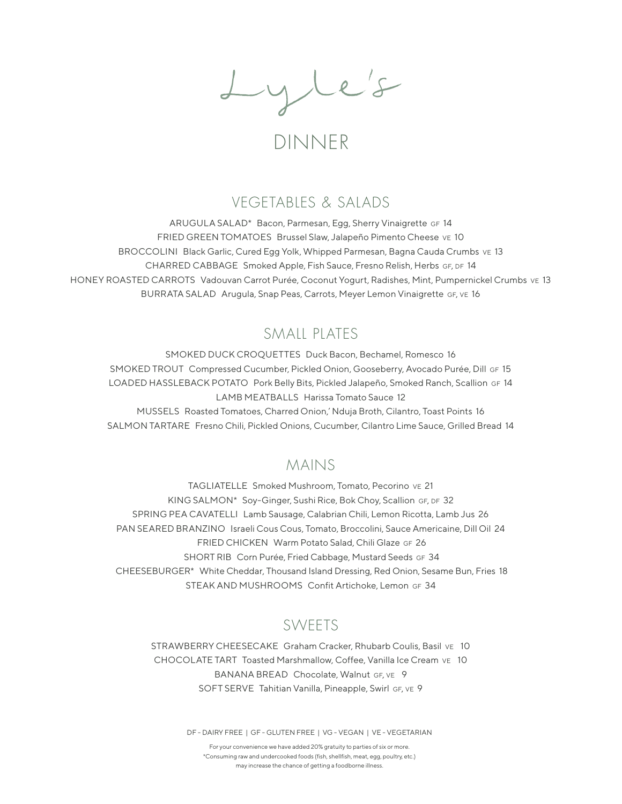Lyle's

# DINNER

### VEGETABLES & SALADS

ARUGULA SALAD\* Bacon, Parmesan, Egg, Sherry Vinaigrette GF 14 FRIED GREEN TOMATOES Brussel Slaw, Jalapeño Pimento Cheese ve 10 BROCCOLINI Black Garlic, Cured Egg Yolk, Whipped Parmesan, Bagna Cauda Crumbs ve 13 CHARRED CABBAGE Smoked Apple, Fish Sauce, Fresno Relish, Herbs GF, DF 14 HONEY ROASTED CARROTS Vadouvan Carrot Purée, Coconut Yogurt, Radishes, Mint, Pumpernickel Crumbs ve 13 BURRATA SALAD Arugula, Snap Peas, Carrots, Meyer Lemon Vinaigrette GF, VE 16

## SMAIL PLATES

SMOKED DUCK CROQUETTES Duck Bacon, Bechamel, Romesco 16 SMOKED TROUT Compressed Cucumber, Pickled Onion, Gooseberry, Avocado Purée, Dill GF 15 LOADED HASSLEBACK POTATO Pork Belly Bits, Pickled Jalapeño, Smoked Ranch, Scallion gf 14 LAMB MEATBALLS Harissa Tomato Sauce 12 MUSSELS Roasted Tomatoes, Charred Onion,' Nduja Broth, Cilantro, Toast Points 16 SALMON TARTARE Fresno Chili, Pickled Onions, Cucumber, Cilantro Lime Sauce, Grilled Bread 14

### MAINS

TAGLIATELLE Smoked Mushroom, Tomato, Pecorino ve 21 KING SALMON\* Soy-Ginger, Sushi Rice, Bok Choy, Scallion GF, DF 32 SPRING PEA CAVATELLI Lamb Sausage, Calabrian Chili, Lemon Ricotta, Lamb Jus 26 PAN SEARED BRANZINO Israeli Cous Cous, Tomato, Broccolini, Sauce Americaine, Dill Oil 24 FRIED CHICKEN Warm Potato Salad, Chili Glaze GF 26 SHORT RIB Corn Purée, Fried Cabbage, Mustard Seeds GF 34 CHEESEBURGER\* White Cheddar, Thousand Island Dressing, Red Onion, Sesame Bun, Fries 18 STEAK AND MUSHROOMS Confit Artichoke, Lemon GF 34

## SWEETS

STRAWBERRY CHEESECAKE Graham Cracker, Rhubarb Coulis, Basil ve 10 CHOCOLATE TART Toasted Marshmallow, Coffee, Vanilla Ice Cream ve 10 BANANA BREAD Chocolate, Walnut GF, VE 9 SOFT SERVE Tahitian Vanilla, Pineapple, Swirl GF, VE 9

DF - DAIRY FREE | GF - GLUTEN FREE | VG - VEGAN | VE - VEGETARIAN

For your convenience we have added 20% gratuity to parties of six or more. \*Consuming raw and undercooked foods (fish, shellfish, meat, egg, poultry, etc.) may increase the chance of getting a foodborne illness.